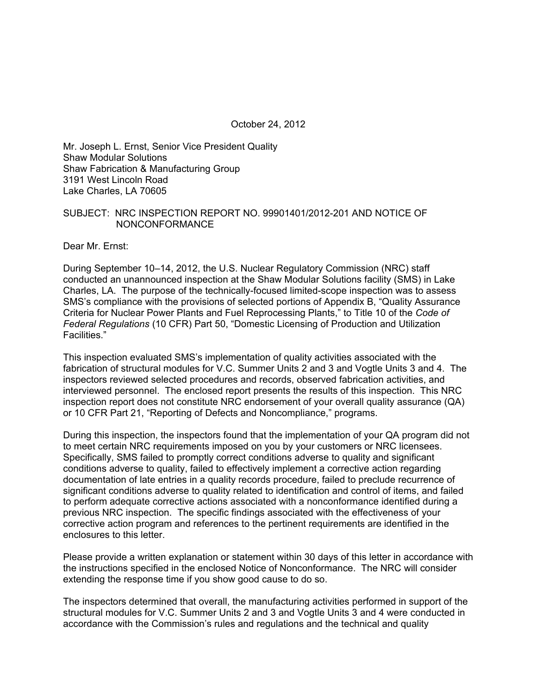October 24, 2012

Mr. Joseph L. Ernst, Senior Vice President Quality Shaw Modular Solutions Shaw Fabrication & Manufacturing Group 3191 West Lincoln Road Lake Charles, LA 70605

#### SUBJECT: NRC INSPECTION REPORT NO. 99901401/2012-201 AND NOTICE OF NONCONFORMANCE

Dear Mr. Ernst:

During September 10–14, 2012, the U.S. Nuclear Regulatory Commission (NRC) staff conducted an unannounced inspection at the Shaw Modular Solutions facility (SMS) in Lake Charles, LA. The purpose of the technically-focused limited-scope inspection was to assess SMS's compliance with the provisions of selected portions of Appendix B, "Quality Assurance Criteria for Nuclear Power Plants and Fuel Reprocessing Plants," to Title 10 of the *Code of Federal Regulations* (10 CFR) Part 50, "Domestic Licensing of Production and Utilization Facilities."

This inspection evaluated SMS's implementation of quality activities associated with the fabrication of structural modules for V.C. Summer Units 2 and 3 and Vogtle Units 3 and 4. The inspectors reviewed selected procedures and records, observed fabrication activities, and interviewed personnel. The enclosed report presents the results of this inspection. This NRC inspection report does not constitute NRC endorsement of your overall quality assurance (QA) or 10 CFR Part 21, "Reporting of Defects and Noncompliance," programs.

During this inspection, the inspectors found that the implementation of your QA program did not to meet certain NRC requirements imposed on you by your customers or NRC licensees. Specifically, SMS failed to promptly correct conditions adverse to quality and significant conditions adverse to quality, failed to effectively implement a corrective action regarding documentation of late entries in a quality records procedure, failed to preclude recurrence of significant conditions adverse to quality related to identification and control of items, and failed to perform adequate corrective actions associated with a nonconformance identified during a previous NRC inspection. The specific findings associated with the effectiveness of your corrective action program and references to the pertinent requirements are identified in the enclosures to this letter.

Please provide a written explanation or statement within 30 days of this letter in accordance with the instructions specified in the enclosed Notice of Nonconformance. The NRC will consider extending the response time if you show good cause to do so.

The inspectors determined that overall, the manufacturing activities performed in support of the structural modules for V.C. Summer Units 2 and 3 and Vogtle Units 3 and 4 were conducted in accordance with the Commission's rules and regulations and the technical and quality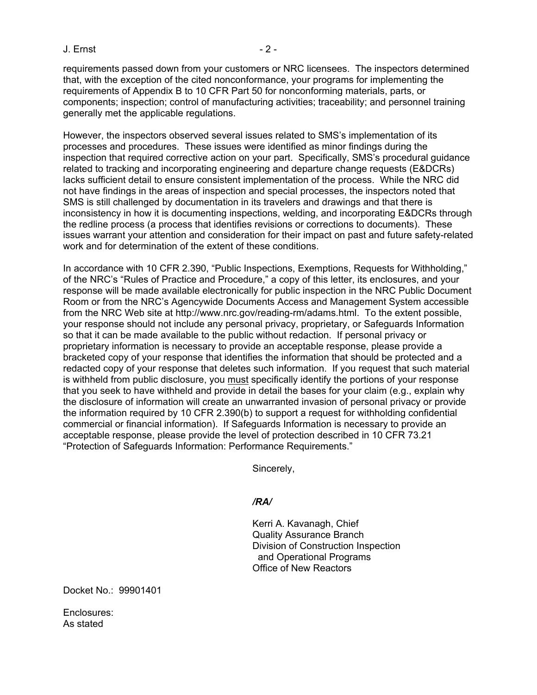#### J. Ernst - 2 -

requirements passed down from your customers or NRC licensees. The inspectors determined that, with the exception of the cited nonconformance, your programs for implementing the requirements of Appendix B to 10 CFR Part 50 for nonconforming materials, parts, or components; inspection; control of manufacturing activities; traceability; and personnel training generally met the applicable regulations.

However, the inspectors observed several issues related to SMS's implementation of its processes and procedures. These issues were identified as minor findings during the inspection that required corrective action on your part. Specifically, SMS's procedural guidance related to tracking and incorporating engineering and departure change requests (E&DCRs) lacks sufficient detail to ensure consistent implementation of the process. While the NRC did not have findings in the areas of inspection and special processes, the inspectors noted that SMS is still challenged by documentation in its travelers and drawings and that there is inconsistency in how it is documenting inspections, welding, and incorporating E&DCRs through the redline process (a process that identifies revisions or corrections to documents). These issues warrant your attention and consideration for their impact on past and future safety-related work and for determination of the extent of these conditions.

In accordance with 10 CFR 2.390, "Public Inspections, Exemptions, Requests for Withholding," of the NRC's "Rules of Practice and Procedure," a copy of this letter, its enclosures, and your response will be made available electronically for public inspection in the NRC Public Document Room or from the NRC's Agencywide Documents Access and Management System accessible from the NRC Web site at http://www.nrc.gov/reading-rm/adams.html. To the extent possible, your response should not include any personal privacy, proprietary, or Safeguards Information so that it can be made available to the public without redaction. If personal privacy or proprietary information is necessary to provide an acceptable response, please provide a bracketed copy of your response that identifies the information that should be protected and a redacted copy of your response that deletes such information. If you request that such material is withheld from public disclosure, you must specifically identify the portions of your response that you seek to have withheld and provide in detail the bases for your claim (e.g., explain why the disclosure of information will create an unwarranted invasion of personal privacy or provide the information required by 10 CFR 2.390(b) to support a request for withholding confidential commercial or financial information). If Safeguards Information is necessary to provide an acceptable response, please provide the level of protection described in 10 CFR 73.21 "Protection of Safeguards Information: Performance Requirements."

Sincerely,

## */RA/*

Kerri A. Kavanagh, Chief Quality Assurance Branch Division of Construction Inspection and Operational Programs Office of New Reactors

Docket No.: 99901401

Enclosures: As stated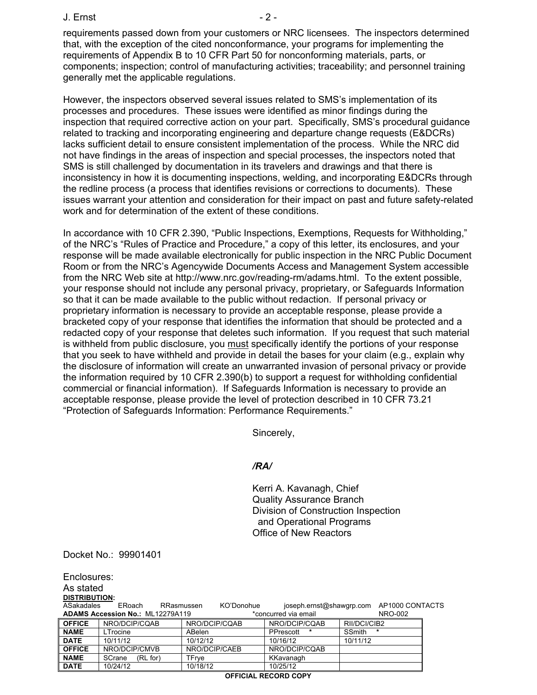#### J. Ernst - 2 -

requirements passed down from your customers or NRC licensees. The inspectors determined that, with the exception of the cited nonconformance, your programs for implementing the requirements of Appendix B to 10 CFR Part 50 for nonconforming materials, parts, or components; inspection; control of manufacturing activities; traceability; and personnel training generally met the applicable regulations.

However, the inspectors observed several issues related to SMS's implementation of its processes and procedures. These issues were identified as minor findings during the inspection that required corrective action on your part. Specifically, SMS's procedural guidance related to tracking and incorporating engineering and departure change requests (E&DCRs) lacks sufficient detail to ensure consistent implementation of the process. While the NRC did not have findings in the areas of inspection and special processes, the inspectors noted that SMS is still challenged by documentation in its travelers and drawings and that there is inconsistency in how it is documenting inspections, welding, and incorporating E&DCRs through the redline process (a process that identifies revisions or corrections to documents). These issues warrant your attention and consideration for their impact on past and future safety-related work and for determination of the extent of these conditions.

In accordance with 10 CFR 2.390, "Public Inspections, Exemptions, Requests for Withholding," of the NRC's "Rules of Practice and Procedure," a copy of this letter, its enclosures, and your response will be made available electronically for public inspection in the NRC Public Document Room or from the NRC's Agencywide Documents Access and Management System accessible from the NRC Web site at http://www.nrc.gov/reading-rm/adams.html. To the extent possible, your response should not include any personal privacy, proprietary, or Safeguards Information so that it can be made available to the public without redaction. If personal privacy or proprietary information is necessary to provide an acceptable response, please provide a bracketed copy of your response that identifies the information that should be protected and a redacted copy of your response that deletes such information. If you request that such material is withheld from public disclosure, you must specifically identify the portions of your response that you seek to have withheld and provide in detail the bases for your claim (e.g., explain why the disclosure of information will create an unwarranted invasion of personal privacy or provide the information required by 10 CFR 2.390(b) to support a request for withholding confidential commercial or financial information). If Safeguards Information is necessary to provide an acceptable response, please provide the level of protection described in 10 CFR 73.21 "Protection of Safeguards Information: Performance Requirements."

Sincerely,

#### */RA/*

Kerri A. Kavanagh, Chief Quality Assurance Branch Division of Construction Inspection and Operational Programs Office of New Reactors

Docket No.: 99901401

| Enclosures:                                                                       |                    |                          |                |              |                                          |
|-----------------------------------------------------------------------------------|--------------------|--------------------------|----------------|--------------|------------------------------------------|
| As stated                                                                         |                    |                          |                |              |                                          |
| <b>DISTRIBUTION:</b>                                                              |                    |                          |                |              |                                          |
| ASakadales                                                                        | ERoach             | KO'Donohue<br>RRasmussen |                |              | joseph.ernst@shawgrp.com AP1000 CONTACTS |
| <b>ADAMS Accession No.: ML12279A119</b><br><b>NRO-002</b><br>*concurred via email |                    |                          |                |              |                                          |
| <b>OFFICE</b>                                                                     | NRO/DCIP/CQAB      | NRO/DCIP/CQAB            | NRO/DCIP/CQAB  | RII/DCI/CIB2 |                                          |
| <b>NAME</b>                                                                       | LTrocine           | ABelen                   | PPrescott<br>* | SSmith       | $\ast$                                   |
| <b>DATE</b>                                                                       | 10/11/12           | 10/12/12                 | 10/16/12       | 10/11/12     |                                          |
| <b>OFFICE</b>                                                                     | NRO/DCIP/CMVB      | NRO/DCIP/CAEB            | NRO/DCIP/COAB  |              |                                          |
| <b>NAME</b>                                                                       | SCrane<br>(RL for) | TFrye                    | KKavanagh      |              |                                          |
| <b>DATE</b>                                                                       | 10/24/12           | 10/18/12                 | 10/25/12       |              |                                          |
| <b>OFFICIAL</b><br><b>RECORD COPY</b>                                             |                    |                          |                |              |                                          |

#### **OFFICIAL RECORD COPY**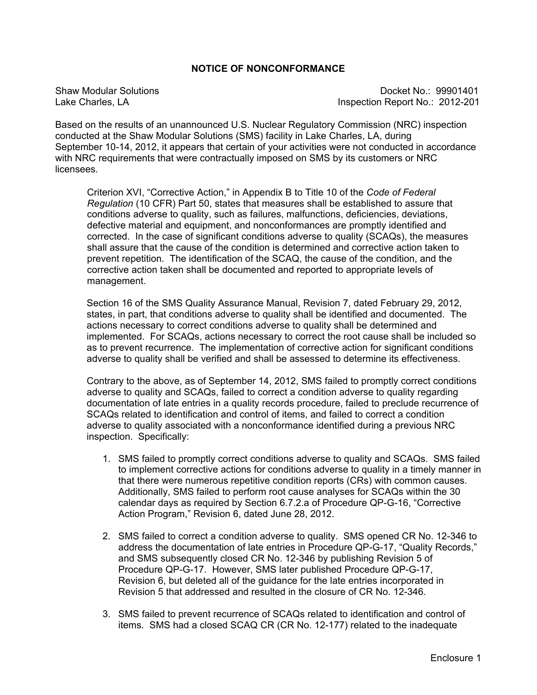## **NOTICE OF NONCONFORMANCE**

Shaw Modular Solutions **Docket No.: 99901401** Lake Charles, LA Inspection Report No.: 2012-201

Based on the results of an unannounced U.S. Nuclear Regulatory Commission (NRC) inspection conducted at the Shaw Modular Solutions (SMS) facility in Lake Charles, LA, during September 10-14, 2012, it appears that certain of your activities were not conducted in accordance with NRC requirements that were contractually imposed on SMS by its customers or NRC licensees.

Criterion XVI, "Corrective Action," in Appendix B to Title 10 of the *Code of Federal Regulation* (10 CFR) Part 50, states that measures shall be established to assure that conditions adverse to quality, such as failures, malfunctions, deficiencies, deviations, defective material and equipment, and nonconformances are promptly identified and corrected. In the case of significant conditions adverse to quality (SCAQs), the measures shall assure that the cause of the condition is determined and corrective action taken to prevent repetition. The identification of the SCAQ, the cause of the condition, and the corrective action taken shall be documented and reported to appropriate levels of management.

Section 16 of the SMS Quality Assurance Manual, Revision 7, dated February 29, 2012, states, in part, that conditions adverse to quality shall be identified and documented. The actions necessary to correct conditions adverse to quality shall be determined and implemented. For SCAQs, actions necessary to correct the root cause shall be included so as to prevent recurrence. The implementation of corrective action for significant conditions adverse to quality shall be verified and shall be assessed to determine its effectiveness.

Contrary to the above, as of September 14, 2012, SMS failed to promptly correct conditions adverse to quality and SCAQs, failed to correct a condition adverse to quality regarding documentation of late entries in a quality records procedure, failed to preclude recurrence of SCAQs related to identification and control of items, and failed to correct a condition adverse to quality associated with a nonconformance identified during a previous NRC inspection. Specifically:

- 1. SMS failed to promptly correct conditions adverse to quality and SCAQs. SMS failed to implement corrective actions for conditions adverse to quality in a timely manner in that there were numerous repetitive condition reports (CRs) with common causes. Additionally, SMS failed to perform root cause analyses for SCAQs within the 30 calendar days as required by Section 6.7.2.a of Procedure QP-G-16, "Corrective Action Program," Revision 6, dated June 28, 2012.
- 2. SMS failed to correct a condition adverse to quality. SMS opened CR No. 12-346 to address the documentation of late entries in Procedure QP-G-17, "Quality Records," and SMS subsequently closed CR No. 12-346 by publishing Revision 5 of Procedure QP-G-17. However, SMS later published Procedure QP-G-17, Revision 6, but deleted all of the guidance for the late entries incorporated in Revision 5 that addressed and resulted in the closure of CR No. 12-346.
- 3. SMS failed to prevent recurrence of SCAQs related to identification and control of items. SMS had a closed SCAQ CR (CR No. 12-177) related to the inadequate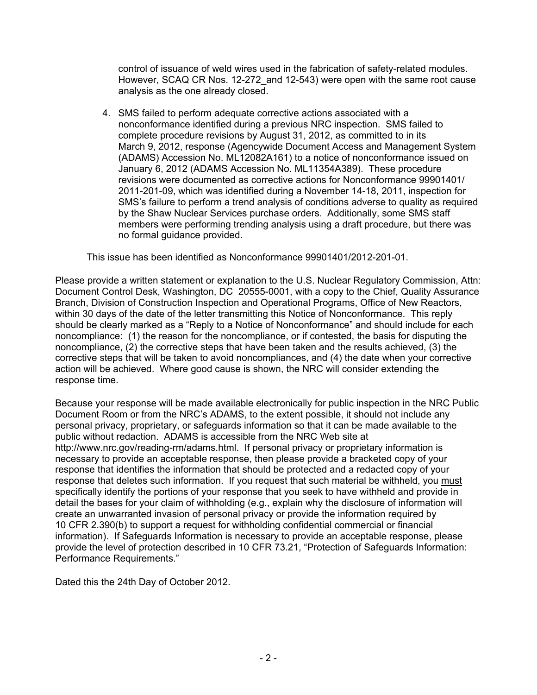control of issuance of weld wires used in the fabrication of safety-related modules. However, SCAQ CR Nos. 12-272\_and 12-543) were open with the same root cause analysis as the one already closed.

4. SMS failed to perform adequate corrective actions associated with a nonconformance identified during a previous NRC inspection. SMS failed to complete procedure revisions by August 31, 2012, as committed to in its March 9, 2012, response (Agencywide Document Access and Management System (ADAMS) Accession No. ML12082A161) to a notice of nonconformance issued on January 6, 2012 (ADAMS Accession No. ML11354A389). These procedure revisions were documented as corrective actions for Nonconformance 99901401/ 2011-201-09, which was identified during a November 14-18, 2011, inspection for SMS's failure to perform a trend analysis of conditions adverse to quality as required by the Shaw Nuclear Services purchase orders. Additionally, some SMS staff members were performing trending analysis using a draft procedure, but there was no formal guidance provided.

This issue has been identified as Nonconformance 99901401/2012-201-01.

Please provide a written statement or explanation to the U.S. Nuclear Regulatory Commission, Attn: Document Control Desk, Washington, DC 20555-0001, with a copy to the Chief, Quality Assurance Branch, Division of Construction Inspection and Operational Programs, Office of New Reactors, within 30 days of the date of the letter transmitting this Notice of Nonconformance. This reply should be clearly marked as a "Reply to a Notice of Nonconformance" and should include for each noncompliance: (1) the reason for the noncompliance, or if contested, the basis for disputing the noncompliance, (2) the corrective steps that have been taken and the results achieved, (3) the corrective steps that will be taken to avoid noncompliances, and (4) the date when your corrective action will be achieved. Where good cause is shown, the NRC will consider extending the response time.

Because your response will be made available electronically for public inspection in the NRC Public Document Room or from the NRC's ADAMS, to the extent possible, it should not include any personal privacy, proprietary, or safeguards information so that it can be made available to the public without redaction. ADAMS is accessible from the NRC Web site at http://www.nrc.gov/reading-rm/adams.html. If personal privacy or proprietary information is necessary to provide an acceptable response, then please provide a bracketed copy of your response that identifies the information that should be protected and a redacted copy of your response that deletes such information. If you request that such material be withheld, you must specifically identify the portions of your response that you seek to have withheld and provide in detail the bases for your claim of withholding (e.g., explain why the disclosure of information will create an unwarranted invasion of personal privacy or provide the information required by 10 CFR 2.390(b) to support a request for withholding confidential commercial or financial information). If Safeguards Information is necessary to provide an acceptable response, please provide the level of protection described in 10 CFR 73.21, "Protection of Safeguards Information: Performance Requirements."

Dated this the 24th Day of October 2012.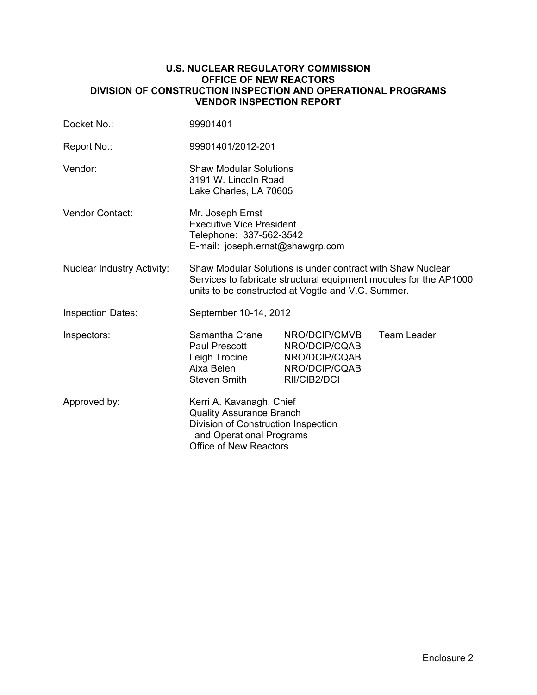### **U.S. NUCLEAR REGULATORY COMMISSION OFFICE OF NEW REACTORS DIVISION OF CONSTRUCTION INSPECTION AND OPERATIONAL PROGRAMS VENDOR INSPECTION REPORT**

| Docket No.:                       | 99901401                                                                                                                                                                              |                                                                                  |                    |  |
|-----------------------------------|---------------------------------------------------------------------------------------------------------------------------------------------------------------------------------------|----------------------------------------------------------------------------------|--------------------|--|
| Report No.:                       | 99901401/2012-201                                                                                                                                                                     |                                                                                  |                    |  |
| Vendor:                           | <b>Shaw Modular Solutions</b><br>3191 W. Lincoln Road<br>Lake Charles, LA 70605                                                                                                       |                                                                                  |                    |  |
| Vendor Contact:                   | Mr. Joseph Ernst<br><b>Executive Vice President</b><br>Telephone: 337-562-3542<br>E-mail: joseph.ernst@shawgrp.com                                                                    |                                                                                  |                    |  |
| <b>Nuclear Industry Activity:</b> | Shaw Modular Solutions is under contract with Shaw Nuclear<br>Services to fabricate structural equipment modules for the AP1000<br>units to be constructed at Vogtle and V.C. Summer. |                                                                                  |                    |  |
| <b>Inspection Dates:</b>          | September 10-14, 2012                                                                                                                                                                 |                                                                                  |                    |  |
| Inspectors:                       | Samantha Crane<br>Paul Prescott<br>Leigh Trocine<br>Aixa Belen<br><b>Steven Smith</b>                                                                                                 | NRO/DCIP/CMVB<br>NRO/DCIP/CQAB<br>NRO/DCIP/CQAB<br>NRO/DCIP/CQAB<br>RII/CIB2/DCI | <b>Team Leader</b> |  |
| Approved by:                      | Kerri A. Kavanagh, Chief<br><b>Quality Assurance Branch</b><br>Division of Construction Inspection<br>and Operational Programs<br><b>Office of New Reactors</b>                       |                                                                                  |                    |  |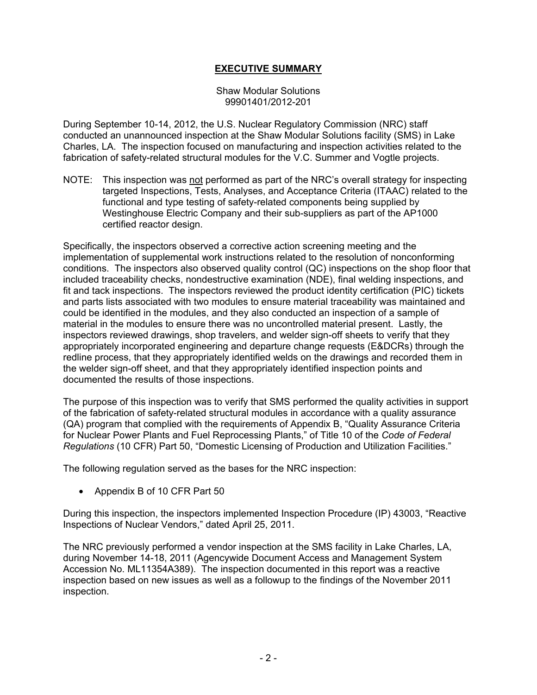## **EXECUTIVE SUMMARY**

Shaw Modular Solutions 99901401/2012-201

During September 10-14, 2012, the U.S. Nuclear Regulatory Commission (NRC) staff conducted an unannounced inspection at the Shaw Modular Solutions facility (SMS) in Lake Charles, LA. The inspection focused on manufacturing and inspection activities related to the fabrication of safety-related structural modules for the V.C. Summer and Vogtle projects.

NOTE: This inspection was not performed as part of the NRC's overall strategy for inspecting targeted Inspections, Tests, Analyses, and Acceptance Criteria (ITAAC) related to the functional and type testing of safety-related components being supplied by Westinghouse Electric Company and their sub-suppliers as part of the AP1000 certified reactor design.

Specifically, the inspectors observed a corrective action screening meeting and the implementation of supplemental work instructions related to the resolution of nonconforming conditions. The inspectors also observed quality control (QC) inspections on the shop floor that included traceability checks, nondestructive examination (NDE), final welding inspections, and fit and tack inspections. The inspectors reviewed the product identity certification (PIC) tickets and parts lists associated with two modules to ensure material traceability was maintained and could be identified in the modules, and they also conducted an inspection of a sample of material in the modules to ensure there was no uncontrolled material present. Lastly, the inspectors reviewed drawings, shop travelers, and welder sign-off sheets to verify that they appropriately incorporated engineering and departure change requests (E&DCRs) through the redline process, that they appropriately identified welds on the drawings and recorded them in the welder sign-off sheet, and that they appropriately identified inspection points and documented the results of those inspections.

The purpose of this inspection was to verify that SMS performed the quality activities in support of the fabrication of safety-related structural modules in accordance with a quality assurance (QA) program that complied with the requirements of Appendix B, "Quality Assurance Criteria for Nuclear Power Plants and Fuel Reprocessing Plants," of Title 10 of the *Code of Federal Regulations* (10 CFR) Part 50, "Domestic Licensing of Production and Utilization Facilities."

The following regulation served as the bases for the NRC inspection:

• Appendix B of 10 CFR Part 50

During this inspection, the inspectors implemented Inspection Procedure (IP) 43003, "Reactive Inspections of Nuclear Vendors," dated April 25, 2011.

The NRC previously performed a vendor inspection at the SMS facility in Lake Charles, LA, during November 14-18, 2011 (Agencywide Document Access and Management System Accession No. ML11354A389). The inspection documented in this report was a reactive inspection based on new issues as well as a followup to the findings of the November 2011 inspection.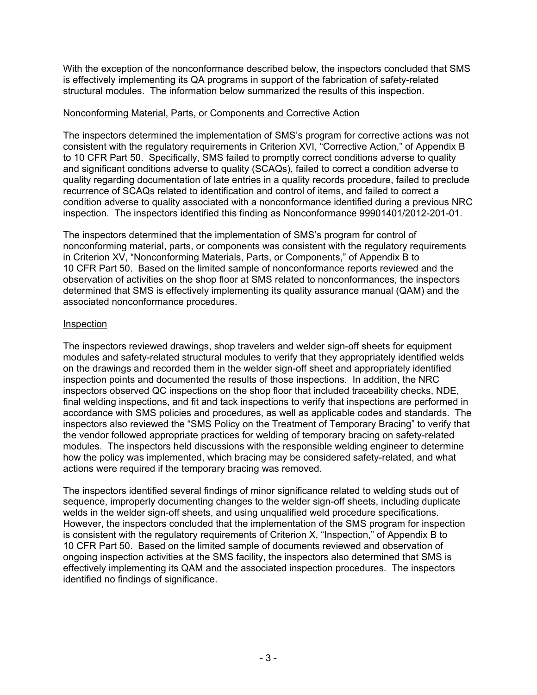With the exception of the nonconformance described below, the inspectors concluded that SMS is effectively implementing its QA programs in support of the fabrication of safety-related structural modules. The information below summarized the results of this inspection.

## Nonconforming Material, Parts, or Components and Corrective Action

The inspectors determined the implementation of SMS's program for corrective actions was not consistent with the regulatory requirements in Criterion XVI, "Corrective Action," of Appendix B to 10 CFR Part 50. Specifically, SMS failed to promptly correct conditions adverse to quality and significant conditions adverse to quality (SCAQs), failed to correct a condition adverse to quality regarding documentation of late entries in a quality records procedure, failed to preclude recurrence of SCAQs related to identification and control of items, and failed to correct a condition adverse to quality associated with a nonconformance identified during a previous NRC inspection. The inspectors identified this finding as Nonconformance 99901401/2012-201-01.

The inspectors determined that the implementation of SMS's program for control of nonconforming material, parts, or components was consistent with the regulatory requirements in Criterion XV, "Nonconforming Materials, Parts, or Components," of Appendix B to 10 CFR Part 50. Based on the limited sample of nonconformance reports reviewed and the observation of activities on the shop floor at SMS related to nonconformances, the inspectors determined that SMS is effectively implementing its quality assurance manual (QAM) and the associated nonconformance procedures.

## Inspection

The inspectors reviewed drawings, shop travelers and welder sign-off sheets for equipment modules and safety-related structural modules to verify that they appropriately identified welds on the drawings and recorded them in the welder sign-off sheet and appropriately identified inspection points and documented the results of those inspections. In addition, the NRC inspectors observed QC inspections on the shop floor that included traceability checks, NDE, final welding inspections, and fit and tack inspections to verify that inspections are performed in accordance with SMS policies and procedures, as well as applicable codes and standards. The inspectors also reviewed the "SMS Policy on the Treatment of Temporary Bracing" to verify that the vendor followed appropriate practices for welding of temporary bracing on safety-related modules. The inspectors held discussions with the responsible welding engineer to determine how the policy was implemented, which bracing may be considered safety-related, and what actions were required if the temporary bracing was removed.

The inspectors identified several findings of minor significance related to welding studs out of sequence, improperly documenting changes to the welder sign-off sheets, including duplicate welds in the welder sign-off sheets, and using unqualified weld procedure specifications. However, the inspectors concluded that the implementation of the SMS program for inspection is consistent with the regulatory requirements of Criterion X, "Inspection," of Appendix B to 10 CFR Part 50. Based on the limited sample of documents reviewed and observation of ongoing inspection activities at the SMS facility, the inspectors also determined that SMS is effectively implementing its QAM and the associated inspection procedures. The inspectors identified no findings of significance.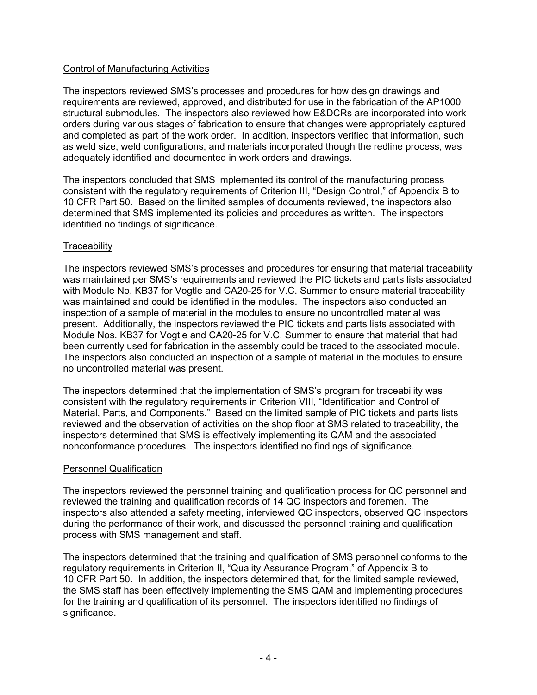## Control of Manufacturing Activities

The inspectors reviewed SMS's processes and procedures for how design drawings and requirements are reviewed, approved, and distributed for use in the fabrication of the AP1000 structural submodules. The inspectors also reviewed how E&DCRs are incorporated into work orders during various stages of fabrication to ensure that changes were appropriately captured and completed as part of the work order. In addition, inspectors verified that information, such as weld size, weld configurations, and materials incorporated though the redline process, was adequately identified and documented in work orders and drawings.

The inspectors concluded that SMS implemented its control of the manufacturing process consistent with the regulatory requirements of Criterion III, "Design Control," of Appendix B to 10 CFR Part 50. Based on the limited samples of documents reviewed, the inspectors also determined that SMS implemented its policies and procedures as written. The inspectors identified no findings of significance.

## **Traceability**

The inspectors reviewed SMS's processes and procedures for ensuring that material traceability was maintained per SMS's requirements and reviewed the PIC tickets and parts lists associated with Module No. KB37 for Vogtle and CA20-25 for V.C. Summer to ensure material traceability was maintained and could be identified in the modules. The inspectors also conducted an inspection of a sample of material in the modules to ensure no uncontrolled material was present. Additionally, the inspectors reviewed the PIC tickets and parts lists associated with Module Nos. KB37 for Vogtle and CA20-25 for V.C. Summer to ensure that material that had been currently used for fabrication in the assembly could be traced to the associated module. The inspectors also conducted an inspection of a sample of material in the modules to ensure no uncontrolled material was present.

The inspectors determined that the implementation of SMS's program for traceability was consistent with the regulatory requirements in Criterion VIII, "Identification and Control of Material, Parts, and Components." Based on the limited sample of PIC tickets and parts lists reviewed and the observation of activities on the shop floor at SMS related to traceability, the inspectors determined that SMS is effectively implementing its QAM and the associated nonconformance procedures. The inspectors identified no findings of significance.

## Personnel Qualification

The inspectors reviewed the personnel training and qualification process for QC personnel and reviewed the training and qualification records of 14 QC inspectors and foremen. The inspectors also attended a safety meeting, interviewed QC inspectors, observed QC inspectors during the performance of their work, and discussed the personnel training and qualification process with SMS management and staff.

The inspectors determined that the training and qualification of SMS personnel conforms to the regulatory requirements in Criterion II, "Quality Assurance Program," of Appendix B to 10 CFR Part 50. In addition, the inspectors determined that, for the limited sample reviewed, the SMS staff has been effectively implementing the SMS QAM and implementing procedures for the training and qualification of its personnel. The inspectors identified no findings of significance.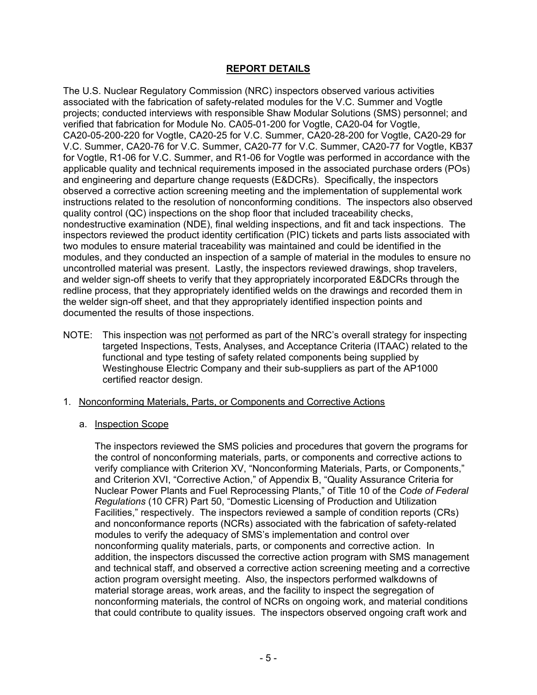## **REPORT DETAILS**

The U.S. Nuclear Regulatory Commission (NRC) inspectors observed various activities associated with the fabrication of safety-related modules for the V.C. Summer and Vogtle projects; conducted interviews with responsible Shaw Modular Solutions (SMS) personnel; and verified that fabrication for Module No. CA05-01-200 for Vogtle, CA20-04 for Vogtle, CA20-05-200-220 for Vogtle, CA20-25 for V.C. Summer, CA20-28-200 for Vogtle, CA20-29 for V.C. Summer, CA20-76 for V.C. Summer, CA20-77 for V.C. Summer, CA20-77 for Vogtle, KB37 for Vogtle, R1-06 for V.C. Summer, and R1-06 for Vogtle was performed in accordance with the applicable quality and technical requirements imposed in the associated purchase orders (POs) and engineering and departure change requests (E&DCRs). Specifically, the inspectors observed a corrective action screening meeting and the implementation of supplemental work instructions related to the resolution of nonconforming conditions. The inspectors also observed quality control (QC) inspections on the shop floor that included traceability checks, nondestructive examination (NDE), final welding inspections, and fit and tack inspections. The inspectors reviewed the product identity certification (PIC) tickets and parts lists associated with two modules to ensure material traceability was maintained and could be identified in the modules, and they conducted an inspection of a sample of material in the modules to ensure no uncontrolled material was present. Lastly, the inspectors reviewed drawings, shop travelers, and welder sign-off sheets to verify that they appropriately incorporated E&DCRs through the redline process, that they appropriately identified welds on the drawings and recorded them in the welder sign-off sheet, and that they appropriately identified inspection points and documented the results of those inspections.

- NOTE: This inspection was not performed as part of the NRC's overall strategy for inspecting targeted Inspections, Tests, Analyses, and Acceptance Criteria (ITAAC) related to the functional and type testing of safety related components being supplied by Westinghouse Electric Company and their sub-suppliers as part of the AP1000 certified reactor design.
- 1. Nonconforming Materials, Parts, or Components and Corrective Actions
	- a. Inspection Scope

The inspectors reviewed the SMS policies and procedures that govern the programs for the control of nonconforming materials, parts, or components and corrective actions to verify compliance with Criterion XV, "Nonconforming Materials, Parts, or Components," and Criterion XVI, "Corrective Action," of Appendix B, "Quality Assurance Criteria for Nuclear Power Plants and Fuel Reprocessing Plants," of Title 10 of the *Code of Federal Regulations* (10 CFR) Part 50, "Domestic Licensing of Production and Utilization Facilities," respectively. The inspectors reviewed a sample of condition reports (CRs) and nonconformance reports (NCRs) associated with the fabrication of safety-related modules to verify the adequacy of SMS's implementation and control over nonconforming quality materials, parts, or components and corrective action. In addition, the inspectors discussed the corrective action program with SMS management and technical staff, and observed a corrective action screening meeting and a corrective action program oversight meeting. Also, the inspectors performed walkdowns of material storage areas, work areas, and the facility to inspect the segregation of nonconforming materials, the control of NCRs on ongoing work, and material conditions that could contribute to quality issues. The inspectors observed ongoing craft work and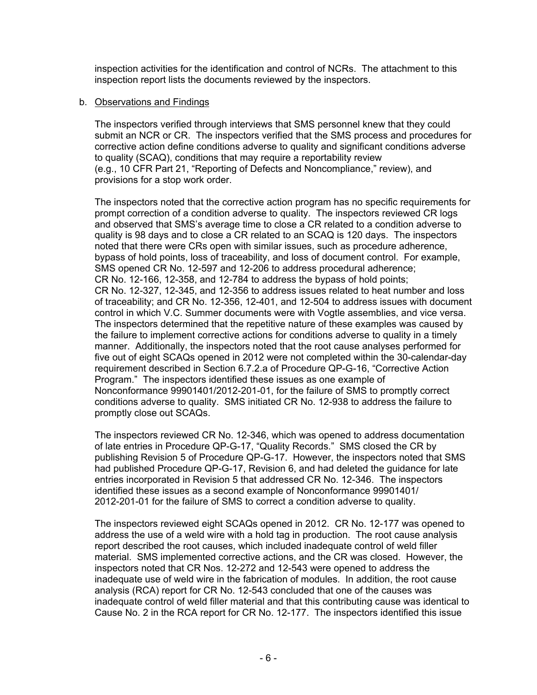inspection activities for the identification and control of NCRs. The attachment to this inspection report lists the documents reviewed by the inspectors.

## b. Observations and Findings

The inspectors verified through interviews that SMS personnel knew that they could submit an NCR or CR. The inspectors verified that the SMS process and procedures for corrective action define conditions adverse to quality and significant conditions adverse to quality (SCAQ), conditions that may require a reportability review (e.g., 10 CFR Part 21, "Reporting of Defects and Noncompliance," review), and provisions for a stop work order.

The inspectors noted that the corrective action program has no specific requirements for prompt correction of a condition adverse to quality. The inspectors reviewed CR logs and observed that SMS's average time to close a CR related to a condition adverse to quality is 98 days and to close a CR related to an SCAQ is 120 days. The inspectors noted that there were CRs open with similar issues, such as procedure adherence, bypass of hold points, loss of traceability, and loss of document control. For example, SMS opened CR No. 12-597 and 12-206 to address procedural adherence; CR No. 12-166, 12-358, and 12-784 to address the bypass of hold points; CR No. 12-327, 12-345, and 12-356 to address issues related to heat number and loss of traceability; and CR No. 12-356, 12-401, and 12-504 to address issues with document control in which V.C. Summer documents were with Vogtle assemblies, and vice versa. The inspectors determined that the repetitive nature of these examples was caused by the failure to implement corrective actions for conditions adverse to quality in a timely manner. Additionally, the inspectors noted that the root cause analyses performed for five out of eight SCAQs opened in 2012 were not completed within the 30-calendar-day requirement described in Section 6.7.2.a of Procedure QP-G-16, "Corrective Action Program." The inspectors identified these issues as one example of Nonconformance 99901401/2012-201-01, for the failure of SMS to promptly correct conditions adverse to quality. SMS initiated CR No. 12-938 to address the failure to promptly close out SCAQs.

The inspectors reviewed CR No. 12-346, which was opened to address documentation of late entries in Procedure QP-G-17, "Quality Records." SMS closed the CR by publishing Revision 5 of Procedure QP-G-17. However, the inspectors noted that SMS had published Procedure QP-G-17, Revision 6, and had deleted the guidance for late entries incorporated in Revision 5 that addressed CR No. 12-346. The inspectors identified these issues as a second example of Nonconformance 99901401/ 2012-201-01 for the failure of SMS to correct a condition adverse to quality.

The inspectors reviewed eight SCAQs opened in 2012. CR No. 12-177 was opened to address the use of a weld wire with a hold tag in production. The root cause analysis report described the root causes, which included inadequate control of weld filler material. SMS implemented corrective actions, and the CR was closed. However, the inspectors noted that CR Nos. 12-272 and 12-543 were opened to address the inadequate use of weld wire in the fabrication of modules. In addition, the root cause analysis (RCA) report for CR No. 12-543 concluded that one of the causes was inadequate control of weld filler material and that this contributing cause was identical to Cause No. 2 in the RCA report for CR No. 12-177. The inspectors identified this issue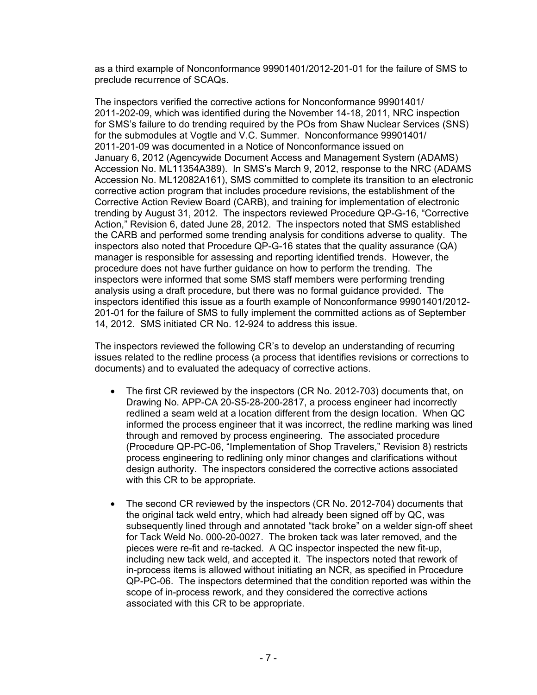as a third example of Nonconformance 99901401/2012-201-01 for the failure of SMS to preclude recurrence of SCAQs.

The inspectors verified the corrective actions for Nonconformance 99901401/ 2011-202-09, which was identified during the November 14-18, 2011, NRC inspection for SMS's failure to do trending required by the POs from Shaw Nuclear Services (SNS) for the submodules at Vogtle and V.C. Summer. Nonconformance 99901401/ 2011-201-09 was documented in a Notice of Nonconformance issued on January 6, 2012 (Agencywide Document Access and Management System (ADAMS) Accession No. ML11354A389). In SMS's March 9, 2012, response to the NRC (ADAMS Accession No. ML12082A161), SMS committed to complete its transition to an electronic corrective action program that includes procedure revisions, the establishment of the Corrective Action Review Board (CARB), and training for implementation of electronic trending by August 31, 2012. The inspectors reviewed Procedure QP-G-16, "Corrective Action," Revision 6, dated June 28, 2012. The inspectors noted that SMS established the CARB and performed some trending analysis for conditions adverse to quality. The inspectors also noted that Procedure QP-G-16 states that the quality assurance (QA) manager is responsible for assessing and reporting identified trends. However, the procedure does not have further guidance on how to perform the trending. The inspectors were informed that some SMS staff members were performing trending analysis using a draft procedure, but there was no formal guidance provided. The inspectors identified this issue as a fourth example of Nonconformance 99901401/2012- 201-01 for the failure of SMS to fully implement the committed actions as of September 14, 2012. SMS initiated CR No. 12-924 to address this issue.

The inspectors reviewed the following CR's to develop an understanding of recurring issues related to the redline process (a process that identifies revisions or corrections to documents) and to evaluated the adequacy of corrective actions.

- The first CR reviewed by the inspectors (CR No. 2012-703) documents that, on Drawing No. APP-CA 20-S5-28-200-2817, a process engineer had incorrectly redlined a seam weld at a location different from the design location. When QC informed the process engineer that it was incorrect, the redline marking was lined through and removed by process engineering. The associated procedure (Procedure QP-PC-06, "Implementation of Shop Travelers," Revision 8) restricts process engineering to redlining only minor changes and clarifications without design authority. The inspectors considered the corrective actions associated with this CR to be appropriate.
- The second CR reviewed by the inspectors (CR No. 2012-704) documents that the original tack weld entry, which had already been signed off by QC, was subsequently lined through and annotated "tack broke" on a welder sign-off sheet for Tack Weld No. 000-20-0027. The broken tack was later removed, and the pieces were re-fit and re-tacked. A QC inspector inspected the new fit-up, including new tack weld, and accepted it. The inspectors noted that rework of in-process items is allowed without initiating an NCR, as specified in Procedure QP-PC-06. The inspectors determined that the condition reported was within the scope of in-process rework, and they considered the corrective actions associated with this CR to be appropriate.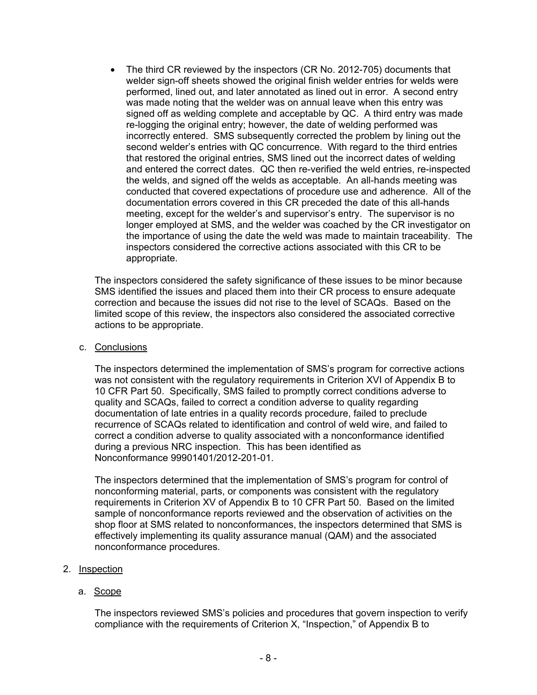• The third CR reviewed by the inspectors (CR No. 2012-705) documents that welder sign-off sheets showed the original finish welder entries for welds were performed, lined out, and later annotated as lined out in error. A second entry was made noting that the welder was on annual leave when this entry was signed off as welding complete and acceptable by QC. A third entry was made re-logging the original entry; however, the date of welding performed was incorrectly entered. SMS subsequently corrected the problem by lining out the second welder's entries with QC concurrence. With regard to the third entries that restored the original entries, SMS lined out the incorrect dates of welding and entered the correct dates. QC then re-verified the weld entries, re-inspected the welds, and signed off the welds as acceptable. An all-hands meeting was conducted that covered expectations of procedure use and adherence. All of the documentation errors covered in this CR preceded the date of this all-hands meeting, except for the welder's and supervisor's entry. The supervisor is no longer employed at SMS, and the welder was coached by the CR investigator on the importance of using the date the weld was made to maintain traceability. The inspectors considered the corrective actions associated with this CR to be appropriate.

The inspectors considered the safety significance of these issues to be minor because SMS identified the issues and placed them into their CR process to ensure adequate correction and because the issues did not rise to the level of SCAQs. Based on the limited scope of this review, the inspectors also considered the associated corrective actions to be appropriate.

## c. Conclusions

The inspectors determined the implementation of SMS's program for corrective actions was not consistent with the regulatory requirements in Criterion XVI of Appendix B to 10 CFR Part 50. Specifically, SMS failed to promptly correct conditions adverse to quality and SCAQs, failed to correct a condition adverse to quality regarding documentation of late entries in a quality records procedure, failed to preclude recurrence of SCAQs related to identification and control of weld wire, and failed to correct a condition adverse to quality associated with a nonconformance identified during a previous NRC inspection. This has been identified as Nonconformance 99901401/2012-201-01.

The inspectors determined that the implementation of SMS's program for control of nonconforming material, parts, or components was consistent with the regulatory requirements in Criterion XV of Appendix B to 10 CFR Part 50. Based on the limited sample of nonconformance reports reviewed and the observation of activities on the shop floor at SMS related to nonconformances, the inspectors determined that SMS is effectively implementing its quality assurance manual (QAM) and the associated nonconformance procedures.

## 2. Inspection

## a. Scope

The inspectors reviewed SMS's policies and procedures that govern inspection to verify compliance with the requirements of Criterion X, "Inspection," of Appendix B to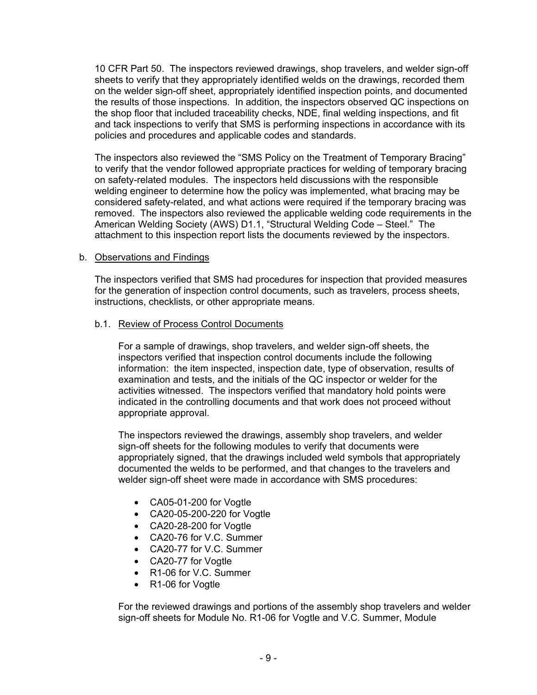10 CFR Part 50. The inspectors reviewed drawings, shop travelers, and welder sign-off sheets to verify that they appropriately identified welds on the drawings, recorded them on the welder sign-off sheet, appropriately identified inspection points, and documented the results of those inspections. In addition, the inspectors observed QC inspections on the shop floor that included traceability checks, NDE, final welding inspections, and fit and tack inspections to verify that SMS is performing inspections in accordance with its policies and procedures and applicable codes and standards.

The inspectors also reviewed the "SMS Policy on the Treatment of Temporary Bracing" to verify that the vendor followed appropriate practices for welding of temporary bracing on safety-related modules. The inspectors held discussions with the responsible welding engineer to determine how the policy was implemented, what bracing may be considered safety-related, and what actions were required if the temporary bracing was removed. The inspectors also reviewed the applicable welding code requirements in the American Welding Society (AWS) D1.1, "Structural Welding Code – Steel." The attachment to this inspection report lists the documents reviewed by the inspectors.

## b. Observations and Findings

The inspectors verified that SMS had procedures for inspection that provided measures for the generation of inspection control documents, such as travelers, process sheets, instructions, checklists, or other appropriate means.

### b.1. Review of Process Control Documents

For a sample of drawings, shop travelers, and welder sign-off sheets, the inspectors verified that inspection control documents include the following information: the item inspected, inspection date, type of observation, results of examination and tests, and the initials of the QC inspector or welder for the activities witnessed. The inspectors verified that mandatory hold points were indicated in the controlling documents and that work does not proceed without appropriate approval.

The inspectors reviewed the drawings, assembly shop travelers, and welder sign-off sheets for the following modules to verify that documents were appropriately signed, that the drawings included weld symbols that appropriately documented the welds to be performed, and that changes to the travelers and welder sign-off sheet were made in accordance with SMS procedures:

- CA05-01-200 for Vogtle
- CA20-05-200-220 for Vogtle
- CA20-28-200 for Vogtle
- CA20-76 for V.C. Summer
- CA20-77 for V.C. Summer
- CA20-77 for Vogtle
- R1-06 for V.C. Summer
- R1-06 for Vogtle

For the reviewed drawings and portions of the assembly shop travelers and welder sign-off sheets for Module No. R1-06 for Vogtle and V.C. Summer, Module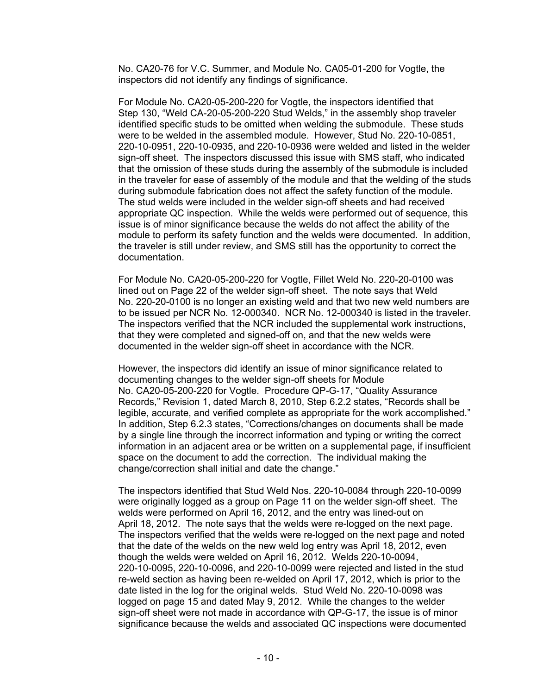No. CA20-76 for V.C. Summer, and Module No. CA05-01-200 for Vogtle, the inspectors did not identify any findings of significance.

For Module No. CA20-05-200-220 for Vogtle, the inspectors identified that Step 130, "Weld CA-20-05-200-220 Stud Welds," in the assembly shop traveler identified specific studs to be omitted when welding the submodule. These studs were to be welded in the assembled module. However, Stud No. 220-10-0851, 220-10-0951, 220-10-0935, and 220-10-0936 were welded and listed in the welder sign-off sheet. The inspectors discussed this issue with SMS staff, who indicated that the omission of these studs during the assembly of the submodule is included in the traveler for ease of assembly of the module and that the welding of the studs during submodule fabrication does not affect the safety function of the module. The stud welds were included in the welder sign-off sheets and had received appropriate QC inspection. While the welds were performed out of sequence, this issue is of minor significance because the welds do not affect the ability of the module to perform its safety function and the welds were documented. In addition, the traveler is still under review, and SMS still has the opportunity to correct the documentation.

For Module No. CA20-05-200-220 for Vogtle, Fillet Weld No. 220-20-0100 was lined out on Page 22 of the welder sign-off sheet. The note says that Weld No. 220-20-0100 is no longer an existing weld and that two new weld numbers are to be issued per NCR No. 12-000340. NCR No. 12-000340 is listed in the traveler. The inspectors verified that the NCR included the supplemental work instructions, that they were completed and signed-off on, and that the new welds were documented in the welder sign-off sheet in accordance with the NCR.

However, the inspectors did identify an issue of minor significance related to documenting changes to the welder sign-off sheets for Module No. CA20-05-200-220 for Vogtle. Procedure QP-G-17, "Quality Assurance Records," Revision 1, dated March 8, 2010, Step 6.2.2 states, "Records shall be legible, accurate, and verified complete as appropriate for the work accomplished." In addition, Step 6.2.3 states, "Corrections/changes on documents shall be made by a single line through the incorrect information and typing or writing the correct information in an adjacent area or be written on a supplemental page, if insufficient space on the document to add the correction. The individual making the change/correction shall initial and date the change."

The inspectors identified that Stud Weld Nos. 220-10-0084 through 220-10-0099 were originally logged as a group on Page 11 on the welder sign-off sheet. The welds were performed on April 16, 2012, and the entry was lined-out on April 18, 2012. The note says that the welds were re-logged on the next page. The inspectors verified that the welds were re-logged on the next page and noted that the date of the welds on the new weld log entry was April 18, 2012, even though the welds were welded on April 16, 2012. Welds 220-10-0094, 220-10-0095, 220-10-0096, and 220-10-0099 were rejected and listed in the stud re-weld section as having been re-welded on April 17, 2012, which is prior to the date listed in the log for the original welds. Stud Weld No. 220-10-0098 was logged on page 15 and dated May 9, 2012. While the changes to the welder sign-off sheet were not made in accordance with QP-G-17, the issue is of minor significance because the welds and associated QC inspections were documented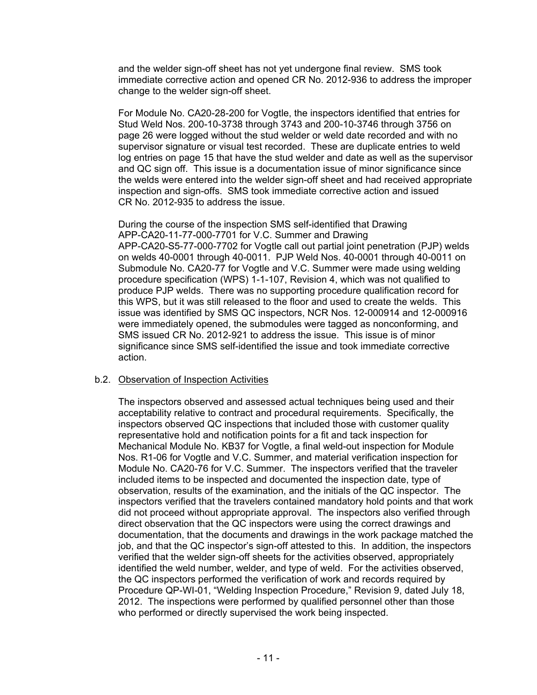and the welder sign-off sheet has not yet undergone final review. SMS took immediate corrective action and opened CR No. 2012-936 to address the improper change to the welder sign-off sheet.

For Module No. CA20-28-200 for Vogtle, the inspectors identified that entries for Stud Weld Nos. 200-10-3738 through 3743 and 200-10-3746 through 3756 on page 26 were logged without the stud welder or weld date recorded and with no supervisor signature or visual test recorded. These are duplicate entries to weld log entries on page 15 that have the stud welder and date as well as the supervisor and QC sign off. This issue is a documentation issue of minor significance since the welds were entered into the welder sign-off sheet and had received appropriate inspection and sign-offs. SMS took immediate corrective action and issued CR No. 2012-935 to address the issue.

During the course of the inspection SMS self-identified that Drawing APP-CA20-11-77-000-7701 for V.C. Summer and Drawing APP-CA20-S5-77-000-7702 for Vogtle call out partial joint penetration (PJP) welds on welds 40-0001 through 40-0011. PJP Weld Nos. 40-0001 through 40-0011 on Submodule No. CA20-77 for Vogtle and V.C. Summer were made using welding procedure specification (WPS) 1-1-107, Revision 4, which was not qualified to produce PJP welds. There was no supporting procedure qualification record for this WPS, but it was still released to the floor and used to create the welds. This issue was identified by SMS QC inspectors, NCR Nos. 12-000914 and 12-000916 were immediately opened, the submodules were tagged as nonconforming, and SMS issued CR No. 2012-921 to address the issue. This issue is of minor significance since SMS self-identified the issue and took immediate corrective action.

## b.2. Observation of Inspection Activities

The inspectors observed and assessed actual techniques being used and their acceptability relative to contract and procedural requirements. Specifically, the inspectors observed QC inspections that included those with customer quality representative hold and notification points for a fit and tack inspection for Mechanical Module No. KB37 for Vogtle, a final weld-out inspection for Module Nos. R1-06 for Vogtle and V.C. Summer, and material verification inspection for Module No. CA20-76 for V.C. Summer. The inspectors verified that the traveler included items to be inspected and documented the inspection date, type of observation, results of the examination, and the initials of the QC inspector. The inspectors verified that the travelers contained mandatory hold points and that work did not proceed without appropriate approval. The inspectors also verified through direct observation that the QC inspectors were using the correct drawings and documentation, that the documents and drawings in the work package matched the job, and that the QC inspector's sign-off attested to this. In addition, the inspectors verified that the welder sign-off sheets for the activities observed, appropriately identified the weld number, welder, and type of weld. For the activities observed, the QC inspectors performed the verification of work and records required by Procedure QP-WI-01, "Welding Inspection Procedure," Revision 9, dated July 18, 2012. The inspections were performed by qualified personnel other than those who performed or directly supervised the work being inspected.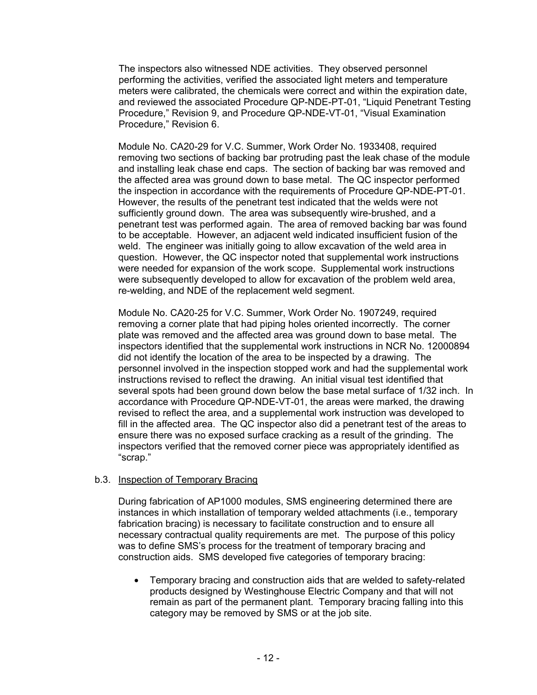The inspectors also witnessed NDE activities. They observed personnel performing the activities, verified the associated light meters and temperature meters were calibrated, the chemicals were correct and within the expiration date, and reviewed the associated Procedure QP-NDE-PT-01, "Liquid Penetrant Testing Procedure," Revision 9, and Procedure QP-NDE-VT-01, "Visual Examination Procedure," Revision 6.

Module No. CA20-29 for V.C. Summer, Work Order No. 1933408, required removing two sections of backing bar protruding past the leak chase of the module and installing leak chase end caps. The section of backing bar was removed and the affected area was ground down to base metal. The QC inspector performed the inspection in accordance with the requirements of Procedure QP-NDE-PT-01. However, the results of the penetrant test indicated that the welds were not sufficiently ground down. The area was subsequently wire-brushed, and a penetrant test was performed again. The area of removed backing bar was found to be acceptable. However, an adjacent weld indicated insufficient fusion of the weld. The engineer was initially going to allow excavation of the weld area in question. However, the QC inspector noted that supplemental work instructions were needed for expansion of the work scope. Supplemental work instructions were subsequently developed to allow for excavation of the problem weld area, re-welding, and NDE of the replacement weld segment.

Module No. CA20-25 for V.C. Summer, Work Order No. 1907249, required removing a corner plate that had piping holes oriented incorrectly. The corner plate was removed and the affected area was ground down to base metal. The inspectors identified that the supplemental work instructions in NCR No. 12000894 did not identify the location of the area to be inspected by a drawing. The personnel involved in the inspection stopped work and had the supplemental work instructions revised to reflect the drawing. An initial visual test identified that several spots had been ground down below the base metal surface of 1/32 inch. In accordance with Procedure QP-NDE-VT-01, the areas were marked, the drawing revised to reflect the area, and a supplemental work instruction was developed to fill in the affected area. The QC inspector also did a penetrant test of the areas to ensure there was no exposed surface cracking as a result of the grinding. The inspectors verified that the removed corner piece was appropriately identified as "scrap."

## b.3. Inspection of Temporary Bracing

During fabrication of AP1000 modules, SMS engineering determined there are instances in which installation of temporary welded attachments (i.e., temporary fabrication bracing) is necessary to facilitate construction and to ensure all necessary contractual quality requirements are met. The purpose of this policy was to define SMS's process for the treatment of temporary bracing and construction aids. SMS developed five categories of temporary bracing:

• Temporary bracing and construction aids that are welded to safety-related products designed by Westinghouse Electric Company and that will not remain as part of the permanent plant. Temporary bracing falling into this category may be removed by SMS or at the job site.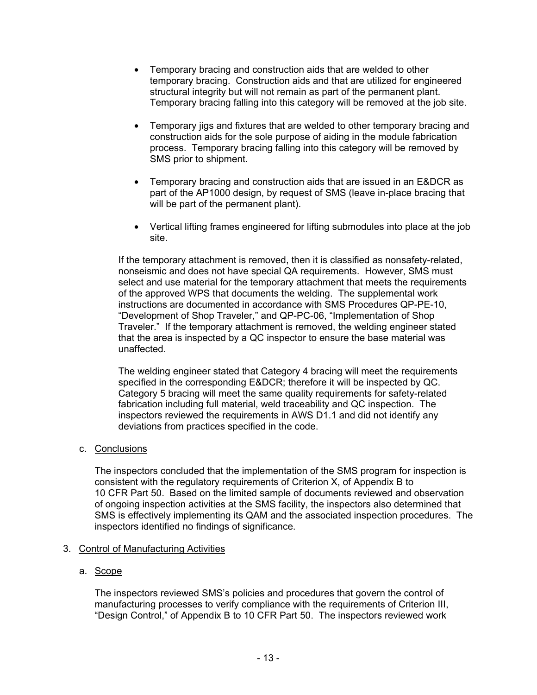- Temporary bracing and construction aids that are welded to other temporary bracing. Construction aids and that are utilized for engineered structural integrity but will not remain as part of the permanent plant. Temporary bracing falling into this category will be removed at the job site.
- Temporary jigs and fixtures that are welded to other temporary bracing and construction aids for the sole purpose of aiding in the module fabrication process. Temporary bracing falling into this category will be removed by SMS prior to shipment.
- Temporary bracing and construction aids that are issued in an E&DCR as part of the AP1000 design, by request of SMS (leave in-place bracing that will be part of the permanent plant).
- Vertical lifting frames engineered for lifting submodules into place at the job site.

If the temporary attachment is removed, then it is classified as nonsafety-related, nonseismic and does not have special QA requirements. However, SMS must select and use material for the temporary attachment that meets the requirements of the approved WPS that documents the welding. The supplemental work instructions are documented in accordance with SMS Procedures QP-PE-10, "Development of Shop Traveler," and QP-PC-06, "Implementation of Shop Traveler." If the temporary attachment is removed, the welding engineer stated that the area is inspected by a QC inspector to ensure the base material was unaffected.

The welding engineer stated that Category 4 bracing will meet the requirements specified in the corresponding E&DCR; therefore it will be inspected by QC. Category 5 bracing will meet the same quality requirements for safety-related fabrication including full material, weld traceability and QC inspection. The inspectors reviewed the requirements in AWS D1.1 and did not identify any deviations from practices specified in the code.

c. Conclusions

The inspectors concluded that the implementation of the SMS program for inspection is consistent with the regulatory requirements of Criterion X, of Appendix B to 10 CFR Part 50. Based on the limited sample of documents reviewed and observation of ongoing inspection activities at the SMS facility, the inspectors also determined that SMS is effectively implementing its QAM and the associated inspection procedures. The inspectors identified no findings of significance.

## 3. Control of Manufacturing Activities

## a. Scope

The inspectors reviewed SMS's policies and procedures that govern the control of manufacturing processes to verify compliance with the requirements of Criterion III, "Design Control," of Appendix B to 10 CFR Part 50. The inspectors reviewed work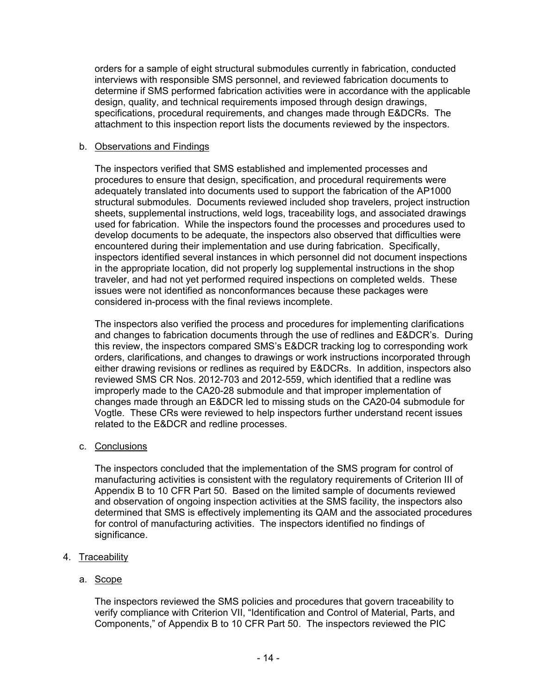orders for a sample of eight structural submodules currently in fabrication, conducted interviews with responsible SMS personnel, and reviewed fabrication documents to determine if SMS performed fabrication activities were in accordance with the applicable design, quality, and technical requirements imposed through design drawings, specifications, procedural requirements, and changes made through E&DCRs. The attachment to this inspection report lists the documents reviewed by the inspectors.

### b. Observations and Findings

The inspectors verified that SMS established and implemented processes and procedures to ensure that design, specification, and procedural requirements were adequately translated into documents used to support the fabrication of the AP1000 structural submodules. Documents reviewed included shop travelers, project instruction sheets, supplemental instructions, weld logs, traceability logs, and associated drawings used for fabrication. While the inspectors found the processes and procedures used to develop documents to be adequate, the inspectors also observed that difficulties were encountered during their implementation and use during fabrication. Specifically, inspectors identified several instances in which personnel did not document inspections in the appropriate location, did not properly log supplemental instructions in the shop traveler, and had not yet performed required inspections on completed welds. These issues were not identified as nonconformances because these packages were considered in-process with the final reviews incomplete.

The inspectors also verified the process and procedures for implementing clarifications and changes to fabrication documents through the use of redlines and E&DCR's. During this review, the inspectors compared SMS's E&DCR tracking log to corresponding work orders, clarifications, and changes to drawings or work instructions incorporated through either drawing revisions or redlines as required by E&DCRs. In addition, inspectors also reviewed SMS CR Nos. 2012-703 and 2012-559, which identified that a redline was improperly made to the CA20-28 submodule and that improper implementation of changes made through an E&DCR led to missing studs on the CA20-04 submodule for Vogtle. These CRs were reviewed to help inspectors further understand recent issues related to the E&DCR and redline processes.

## c. Conclusions

The inspectors concluded that the implementation of the SMS program for control of manufacturing activities is consistent with the regulatory requirements of Criterion III of Appendix B to 10 CFR Part 50. Based on the limited sample of documents reviewed and observation of ongoing inspection activities at the SMS facility, the inspectors also determined that SMS is effectively implementing its QAM and the associated procedures for control of manufacturing activities. The inspectors identified no findings of significance.

- 4. Traceability
	- a. Scope

The inspectors reviewed the SMS policies and procedures that govern traceability to verify compliance with Criterion VII, "Identification and Control of Material, Parts, and Components," of Appendix B to 10 CFR Part 50. The inspectors reviewed the PIC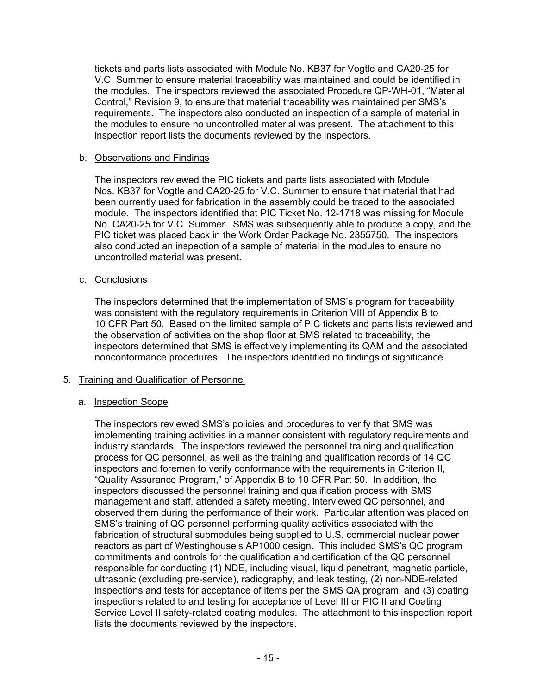tickets and parts lists associated with Module No. KB37 for Vogtle and CA20-25 for V.C. Summer to ensure material traceability was maintained and could be identified in the modules. The inspectors reviewed the associated Procedure QP-WH-01, "Material Control," Revision 9, to ensure that material traceability was maintained per SMS's requirements. The inspectors also conducted an inspection of a sample of material in the modules to ensure no uncontrolled material was present. The attachment to this inspection report lists the documents reviewed by the inspectors.

### b. Observations and Findings

The inspectors reviewed the PIC tickets and parts lists associated with Module Nos. KB37 for Vogtle and CA20-25 for V.C. Summer to ensure that material that had been currently used for fabrication in the assembly could be traced to the associated module. The inspectors identified that PIC Ticket No. 12-1718 was missing for Module No. CA20-25 for V.C. Summer. SMS was subsequently able to produce a copy, and the PIC ticket was placed back in the Work Order Package No. 2355750. The inspectors also conducted an inspection of a sample of material in the modules to ensure no uncontrolled material was present.

## c. Conclusions

The inspectors determined that the implementation of SMS's program for traceability was consistent with the regulatory requirements in Criterion VIII of Appendix B to 10 CFR Part 50. Based on the limited sample of PIC tickets and parts lists reviewed and the observation of activities on the shop floor at SMS related to traceability, the inspectors determined that SMS is effectively implementing its QAM and the associated nonconformance procedures. The inspectors identified no findings of significance.

## 5. Training and Qualification of Personnel

## a. Inspection Scope

The inspectors reviewed SMS's policies and procedures to verify that SMS was implementing training activities in a manner consistent with regulatory requirements and industry standards. The inspectors reviewed the personnel training and qualification process for QC personnel, as well as the training and qualification records of 14 QC inspectors and foremen to verify conformance with the requirements in Criterion II, "Quality Assurance Program," of Appendix B to 10 CFR Part 50. In addition, the inspectors discussed the personnel training and qualification process with SMS management and staff, attended a safety meeting, interviewed QC personnel, and observed them during the performance of their work. Particular attention was placed on SMS's training of QC personnel performing quality activities associated with the fabrication of structural submodules being supplied to U.S. commercial nuclear power reactors as part of Westinghouse's AP1000 design. This included SMS's QC program commitments and controls for the qualification and certification of the QC personnel responsible for conducting (1) NDE, including visual, liquid penetrant, magnetic particle, ultrasonic (excluding pre-service), radiography, and leak testing, (2) non-NDE-related inspections and tests for acceptance of items per the SMS QA program, and (3) coating inspections related to and testing for acceptance of Level III or PIC II and Coating Service Level II safety-related coating modules. The attachment to this inspection report lists the documents reviewed by the inspectors.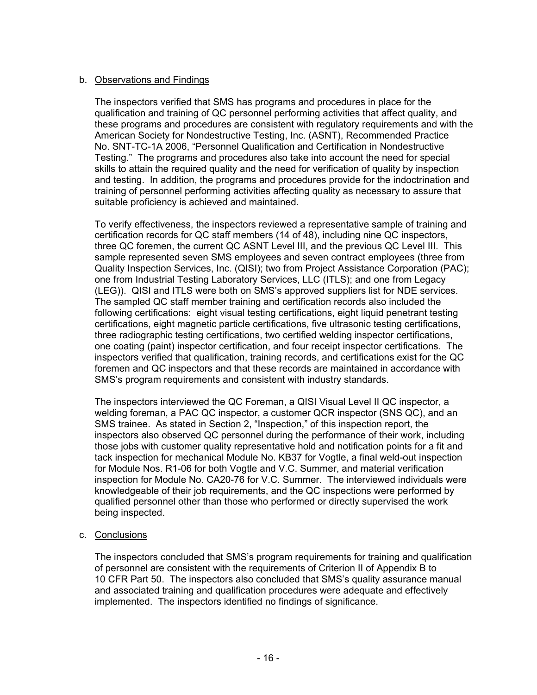## b. Observations and Findings

The inspectors verified that SMS has programs and procedures in place for the qualification and training of QC personnel performing activities that affect quality, and these programs and procedures are consistent with regulatory requirements and with the American Society for Nondestructive Testing, Inc. (ASNT), Recommended Practice No. SNT-TC-1A 2006, "Personnel Qualification and Certification in Nondestructive Testing." The programs and procedures also take into account the need for special skills to attain the required quality and the need for verification of quality by inspection and testing. In addition, the programs and procedures provide for the indoctrination and training of personnel performing activities affecting quality as necessary to assure that suitable proficiency is achieved and maintained.

To verify effectiveness, the inspectors reviewed a representative sample of training and certification records for QC staff members (14 of 48), including nine QC inspectors, three QC foremen, the current QC ASNT Level III, and the previous QC Level III. This sample represented seven SMS employees and seven contract employees (three from Quality Inspection Services, Inc. (QISI); two from Project Assistance Corporation (PAC); one from Industrial Testing Laboratory Services, LLC (ITLS); and one from Legacy (LEG)). QISI and ITLS were both on SMS's approved suppliers list for NDE services. The sampled QC staff member training and certification records also included the following certifications: eight visual testing certifications, eight liquid penetrant testing certifications, eight magnetic particle certifications, five ultrasonic testing certifications, three radiographic testing certifications, two certified welding inspector certifications, one coating (paint) inspector certification, and four receipt inspector certifications. The inspectors verified that qualification, training records, and certifications exist for the QC foremen and QC inspectors and that these records are maintained in accordance with SMS's program requirements and consistent with industry standards.

The inspectors interviewed the QC Foreman, a QISI Visual Level II QC inspector, a welding foreman, a PAC QC inspector, a customer QCR inspector (SNS QC), and an SMS trainee. As stated in Section 2, "Inspection," of this inspection report, the inspectors also observed QC personnel during the performance of their work, including those jobs with customer quality representative hold and notification points for a fit and tack inspection for mechanical Module No. KB37 for Vogtle, a final weld-out inspection for Module Nos. R1-06 for both Vogtle and V.C. Summer, and material verification inspection for Module No. CA20-76 for V.C. Summer. The interviewed individuals were knowledgeable of their job requirements, and the QC inspections were performed by qualified personnel other than those who performed or directly supervised the work being inspected.

## c. Conclusions

The inspectors concluded that SMS's program requirements for training and qualification of personnel are consistent with the requirements of Criterion II of Appendix B to 10 CFR Part 50. The inspectors also concluded that SMS's quality assurance manual and associated training and qualification procedures were adequate and effectively implemented. The inspectors identified no findings of significance.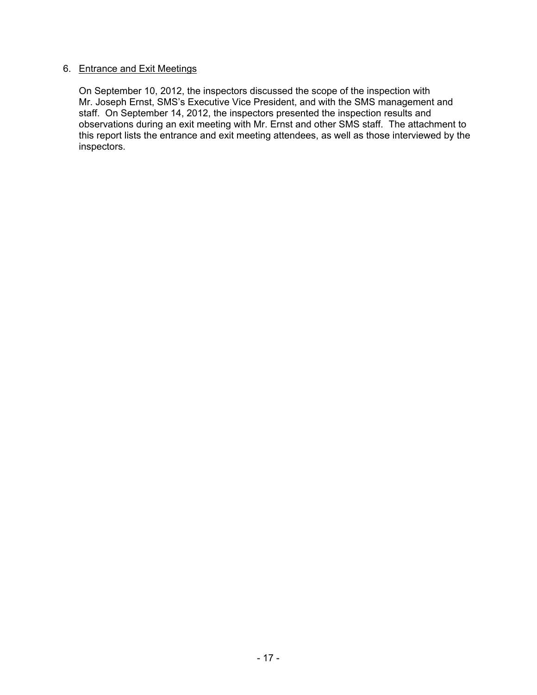## 6. Entrance and Exit Meetings

On September 10, 2012, the inspectors discussed the scope of the inspection with Mr. Joseph Ernst, SMS's Executive Vice President, and with the SMS management and staff. On September 14, 2012, the inspectors presented the inspection results and observations during an exit meeting with Mr. Ernst and other SMS staff. The attachment to this report lists the entrance and exit meeting attendees, as well as those interviewed by the inspectors.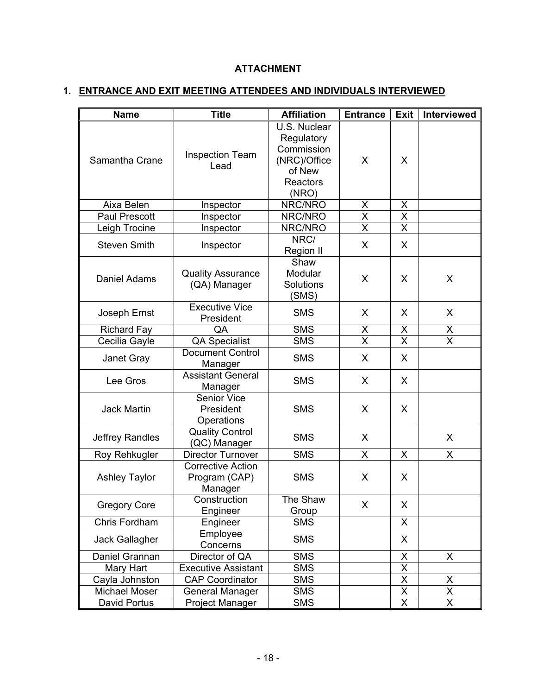# **ATTACHMENT**

# **1. ENTRANCE AND EXIT MEETING ATTENDEES AND INDIVIDUALS INTERVIEWED**

| <b>Name</b>          | <b>Title</b>                                         | <b>Affiliation</b>                                                                      | <b>Entrance</b>         | Exit                    | Interviewed             |
|----------------------|------------------------------------------------------|-----------------------------------------------------------------------------------------|-------------------------|-------------------------|-------------------------|
| Samantha Crane       | <b>Inspection Team</b><br>Lead                       | U.S. Nuclear<br>Regulatory<br>Commission<br>(NRC)/Office<br>of New<br>Reactors<br>(NRO) | X                       | X                       |                         |
| Aixa Belen           | Inspector                                            | NRC/NRO                                                                                 | X<br>X                  |                         |                         |
| <b>Paul Prescott</b> | Inspector                                            | NRC/NRO                                                                                 | X                       | $\mathsf{X}$            |                         |
| Leigh Trocine        | Inspector                                            | NRC/NRO                                                                                 | $\overline{\sf x}$      | $\overline{\mathsf{x}}$ |                         |
| <b>Steven Smith</b>  | Inspector                                            | NRC/<br>Region II                                                                       | $\sf X$                 | X                       |                         |
| Daniel Adams         | <b>Quality Assurance</b><br>(QA) Manager             | Shaw<br>Modular<br>Solutions<br>(SMS)                                                   | X                       | X                       | X                       |
| Joseph Ernst         | <b>Executive Vice</b><br>President                   | <b>SMS</b>                                                                              | X                       | X                       | $\mathsf{X}$            |
| <b>Richard Fay</b>   | QA                                                   | <b>SMS</b>                                                                              | X                       | X                       |                         |
| Cecilia Gayle        | <b>QA Specialist</b>                                 | <b>SMS</b>                                                                              | $\overline{\mathsf{x}}$ | $\overline{\mathsf{x}}$ | $\frac{x}{x}$           |
| Janet Gray           | Document Control<br>Manager                          | <b>SMS</b>                                                                              | X                       | $\mathsf{X}$            |                         |
| Lee Gros             | <b>Assistant General</b><br>Manager                  | <b>SMS</b>                                                                              | X                       | X                       |                         |
| <b>Jack Martin</b>   | <b>Senior Vice</b><br>President<br>Operations        | <b>SMS</b>                                                                              | X                       | X                       |                         |
| Jeffrey Randles      | <b>Quality Control</b><br>(QC) Manager               | <b>SMS</b>                                                                              | X                       |                         | X                       |
| Roy Rehkugler        | Director Turnover                                    | <b>SMS</b>                                                                              | $\mathsf{X}$            | X                       | $\mathsf{X}$            |
| <b>Ashley Taylor</b> | <b>Corrective Action</b><br>Program (CAP)<br>Manager | <b>SMS</b>                                                                              | X                       | X                       |                         |
| <b>Gregory Core</b>  | Construction<br>Engineer                             | The Shaw<br>Group                                                                       | X                       | X                       |                         |
| Chris Fordham        | Engineer                                             | <b>SMS</b>                                                                              |                         | X                       |                         |
| Jack Gallagher       | Employee<br>Concerns                                 | <b>SMS</b>                                                                              |                         | X                       |                         |
| Daniel Grannan       | Director of QA                                       | <b>SMS</b>                                                                              |                         | X                       | X                       |
| Mary Hart            | <b>Executive Assistant</b>                           | <b>SMS</b>                                                                              |                         | $\overline{\mathsf{x}}$ |                         |
| Cayla Johnston       | <b>CAP Coordinator</b>                               | <b>SMS</b>                                                                              |                         | X                       | X                       |
| Michael Moser        | <b>General Manager</b>                               | <b>SMS</b>                                                                              |                         | X                       | $\overline{X}$          |
| David Portus         | Project Manager                                      | <b>SMS</b>                                                                              |                         | $\overline{\mathsf{x}}$ | $\overline{\mathsf{X}}$ |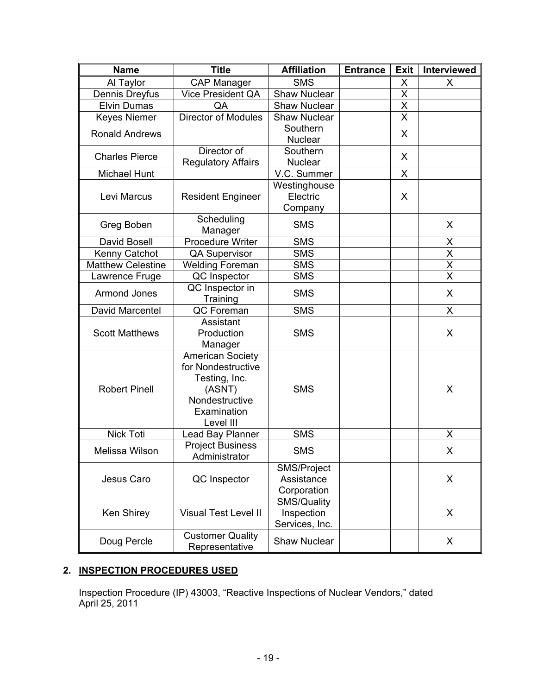| <b>Name</b>              | <b>Title</b>                             | <b>Affiliation</b>  | <b>Entrance</b> | <b>Exit</b>             | Interviewed             |
|--------------------------|------------------------------------------|---------------------|-----------------|-------------------------|-------------------------|
| Al Taylor                | <b>CAP Manager</b>                       | <b>SMS</b>          |                 | X                       | X                       |
| Dennis Dreyfus           | <b>Vice President QA</b>                 | <b>Shaw Nuclear</b> |                 | X                       |                         |
| <b>Elvin Dumas</b>       | QA                                       | <b>Shaw Nuclear</b> |                 | Χ                       |                         |
| <b>Keyes Niemer</b>      | <b>Director of Modules</b>               | Shaw Nuclear        |                 | $\overline{\mathsf{x}}$ |                         |
| <b>Ronald Andrews</b>    |                                          | Southern            |                 |                         |                         |
|                          |                                          | <b>Nuclear</b>      |                 | X                       |                         |
| <b>Charles Pierce</b>    | Director of                              | Southern            |                 | $\mathsf{X}$            |                         |
|                          | <b>Regulatory Affairs</b>                | <b>Nuclear</b>      |                 |                         |                         |
| Michael Hunt             |                                          | V.C. Summer         |                 | X                       |                         |
|                          |                                          | Westinghouse        |                 |                         |                         |
| Levi Marcus              | <b>Resident Engineer</b>                 | Electric            |                 | X                       |                         |
|                          |                                          | Company             |                 |                         |                         |
| Greg Boben               | Scheduling                               | <b>SMS</b>          |                 |                         | X                       |
| David Bosell             | Manager<br><b>Procedure Writer</b>       | <b>SMS</b>          |                 |                         | X                       |
| Kenny Catchot            | <b>QA Supervisor</b>                     | <b>SMS</b>          |                 |                         | $\overline{\mathsf{x}}$ |
| <b>Matthew Celestine</b> | <b>Welding Foreman</b>                   | <b>SMS</b>          |                 |                         | $\overline{X}$          |
| Lawrence Fruge           | QC Inspector                             | <b>SMS</b>          |                 |                         | $\overline{\mathsf{x}}$ |
|                          | QC Inspector in                          |                     |                 |                         |                         |
| <b>Armond Jones</b>      | Training                                 | <b>SMS</b>          |                 |                         | X                       |
| David Marcentel          | QC Foreman                               | <b>SMS</b>          |                 |                         | X                       |
|                          | Assistant                                |                     |                 |                         |                         |
| <b>Scott Matthews</b>    | Production                               | <b>SMS</b>          |                 |                         | X                       |
|                          | Manager                                  |                     |                 |                         |                         |
|                          | <b>American Society</b>                  |                     |                 |                         |                         |
|                          | for Nondestructive                       |                     |                 |                         |                         |
|                          | Testing, Inc.                            |                     |                 |                         |                         |
| <b>Robert Pinell</b>     | (ASNT)                                   | <b>SMS</b>          |                 |                         | X                       |
|                          | Nondestructive                           |                     |                 |                         |                         |
|                          | Examination                              |                     |                 |                         |                         |
|                          | Level III                                |                     |                 |                         |                         |
| <b>Nick Toti</b>         | Lead Bay Planner                         | <b>SMS</b>          |                 |                         | Χ                       |
| Melissa Wilson           | <b>Project Business</b><br>Administrator | <b>SMS</b>          |                 |                         | X                       |
|                          | QC Inspector                             | SMS/Project         |                 |                         |                         |
| Jesus Caro               |                                          | Assistance          |                 |                         | X                       |
|                          |                                          | Corporation         |                 |                         |                         |
|                          |                                          | <b>SMS/Quality</b>  |                 |                         |                         |
| Ken Shirey               | <b>Visual Test Level II</b>              | Inspection          |                 |                         | X                       |
|                          |                                          | Services, Inc.      |                 |                         |                         |
| Doug Percle              | <b>Customer Quality</b>                  | <b>Shaw Nuclear</b> |                 |                         | X                       |
|                          | Representative                           |                     |                 |                         |                         |

## **2. INSPECTION PROCEDURES USED**

Inspection Procedure (IP) 43003, "Reactive Inspections of Nuclear Vendors," dated April 25, 2011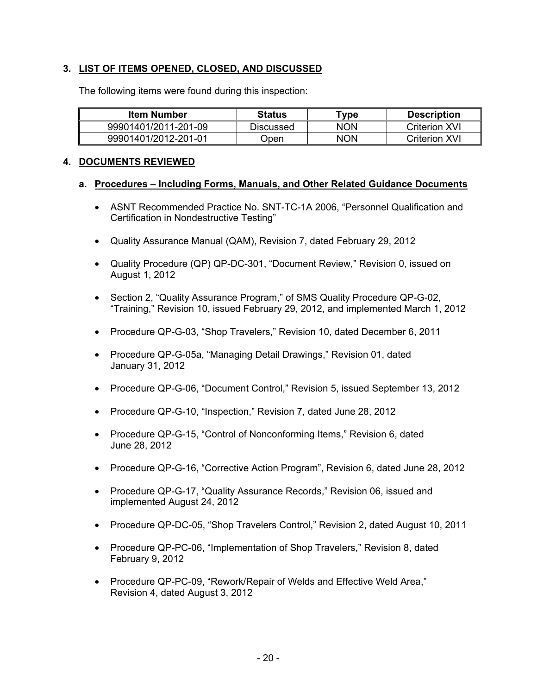## **3. LIST OF ITEMS OPENED, CLOSED, AND DISCUSSED**

The following items were found during this inspection:

| <b>Item Number</b>   | Status    | $\tau$ vpe | <b>Description</b>   |
|----------------------|-----------|------------|----------------------|
| 99901401/2011-201-09 | Discussed | NON        | <b>Criterion XVI</b> |
| 99901401/2012-201-01 | Jpen      | <b>NON</b> | Criterion XVI        |

### **4. DOCUMENTS REVIEWED**

### **a. Procedures – Including Forms, Manuals, and Other Related Guidance Documents**

- ASNT Recommended Practice No. SNT-TC-1A 2006, "Personnel Qualification and Certification in Nondestructive Testing"
- Quality Assurance Manual (QAM), Revision 7, dated February 29, 2012
- Quality Procedure (QP) QP-DC-301, "Document Review," Revision 0, issued on August 1, 2012
- Section 2, "Quality Assurance Program," of SMS Quality Procedure QP-G-02, "Training," Revision 10, issued February 29, 2012, and implemented March 1, 2012
- Procedure QP-G-03, "Shop Travelers," Revision 10, dated December 6, 2011
- Procedure QP-G-05a, "Managing Detail Drawings," Revision 01, dated January 31, 2012
- Procedure QP-G-06, "Document Control," Revision 5, issued September 13, 2012
- Procedure QP-G-10, "Inspection," Revision 7, dated June 28, 2012
- Procedure QP-G-15, "Control of Nonconforming Items," Revision 6, dated June 28, 2012
- Procedure QP-G-16, "Corrective Action Program", Revision 6, dated June 28, 2012
- Procedure QP-G-17, "Quality Assurance Records," Revision 06, issued and implemented August 24, 2012
- Procedure QP-DC-05, "Shop Travelers Control," Revision 2, dated August 10, 2011
- Procedure QP-PC-06, "Implementation of Shop Travelers," Revision 8, dated February 9, 2012
- Procedure QP-PC-09, "Rework/Repair of Welds and Effective Weld Area," Revision 4, dated August 3, 2012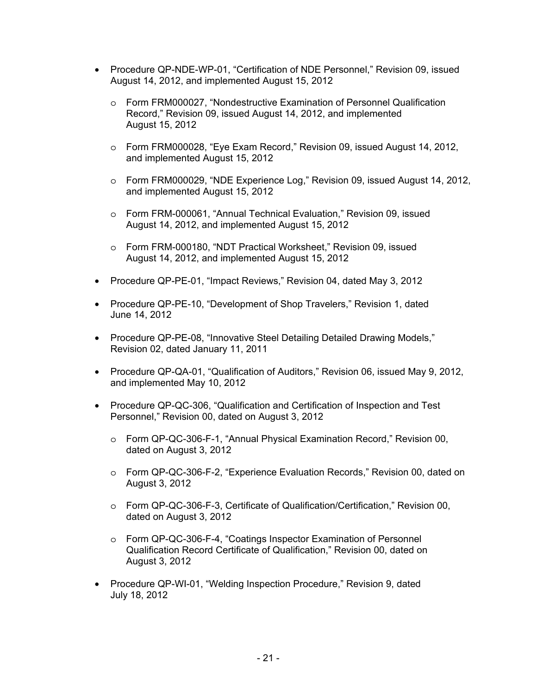- Procedure QP-NDE-WP-01, "Certification of NDE Personnel," Revision 09, issued August 14, 2012, and implemented August 15, 2012
	- o Form FRM000027, "Nondestructive Examination of Personnel Qualification Record," Revision 09, issued August 14, 2012, and implemented August 15, 2012
	- o Form FRM000028, "Eye Exam Record," Revision 09, issued August 14, 2012, and implemented August 15, 2012
	- o Form FRM000029, "NDE Experience Log," Revision 09, issued August 14, 2012, and implemented August 15, 2012
	- o Form FRM-000061, "Annual Technical Evaluation," Revision 09, issued August 14, 2012, and implemented August 15, 2012
	- o Form FRM-000180, "NDT Practical Worksheet," Revision 09, issued August 14, 2012, and implemented August 15, 2012
- Procedure QP-PE-01, "Impact Reviews," Revision 04, dated May 3, 2012
- Procedure QP-PE-10, "Development of Shop Travelers," Revision 1, dated June 14, 2012
- Procedure QP-PE-08, "Innovative Steel Detailing Detailed Drawing Models," Revision 02, dated January 11, 2011
- Procedure QP-QA-01, "Qualification of Auditors," Revision 06, issued May 9, 2012, and implemented May 10, 2012
- Procedure QP-QC-306, "Qualification and Certification of Inspection and Test Personnel," Revision 00, dated on August 3, 2012
	- o Form QP-QC-306-F-1, "Annual Physical Examination Record," Revision 00, dated on August 3, 2012
	- o Form QP-QC-306-F-2, "Experience Evaluation Records," Revision 00, dated on August 3, 2012
	- o Form QP-QC-306-F-3, Certificate of Qualification/Certification," Revision 00, dated on August 3, 2012
	- o Form QP-QC-306-F-4, "Coatings Inspector Examination of Personnel Qualification Record Certificate of Qualification," Revision 00, dated on August 3, 2012
- Procedure QP-WI-01, "Welding Inspection Procedure," Revision 9, dated July 18, 2012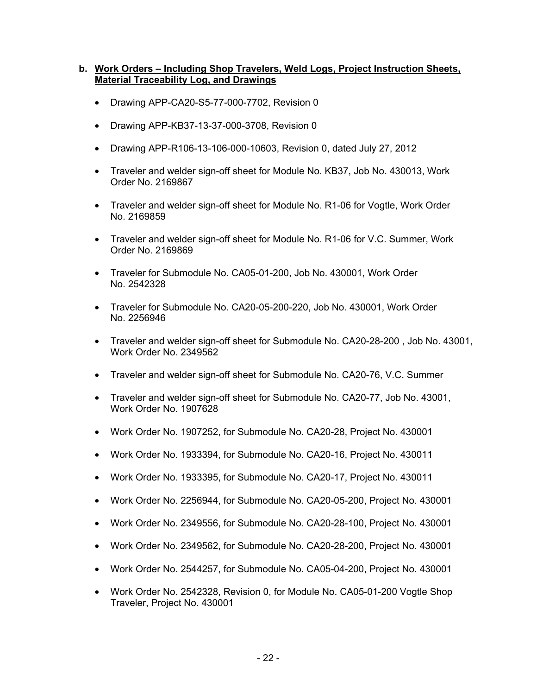## **b. Work Orders – Including Shop Travelers, Weld Logs, Project Instruction Sheets, Material Traceability Log, and Drawings**

- Drawing APP-CA20-S5-77-000-7702, Revision 0
- Drawing APP-KB37-13-37-000-3708, Revision 0
- Drawing APP-R106-13-106-000-10603, Revision 0, dated July 27, 2012
- Traveler and welder sign-off sheet for Module No. KB37, Job No. 430013, Work Order No. 2169867
- Traveler and welder sign-off sheet for Module No. R1-06 for Vogtle, Work Order No. 2169859
- Traveler and welder sign-off sheet for Module No. R1-06 for V.C. Summer, Work Order No. 2169869
- Traveler for Submodule No. CA05-01-200, Job No. 430001, Work Order No. 2542328
- Traveler for Submodule No. CA20-05-200-220, Job No. 430001, Work Order No. 2256946
- Traveler and welder sign-off sheet for Submodule No. CA20-28-200 , Job No. 43001, Work Order No. 2349562
- Traveler and welder sign-off sheet for Submodule No. CA20-76, V.C. Summer
- Traveler and welder sign-off sheet for Submodule No. CA20-77, Job No. 43001, Work Order No. 1907628
- Work Order No. 1907252, for Submodule No. CA20-28, Project No. 430001
- Work Order No. 1933394, for Submodule No. CA20-16, Project No. 430011
- Work Order No. 1933395, for Submodule No. CA20-17, Project No. 430011
- Work Order No. 2256944, for Submodule No. CA20-05-200, Project No. 430001
- Work Order No. 2349556, for Submodule No. CA20-28-100, Project No. 430001
- Work Order No. 2349562, for Submodule No. CA20-28-200, Project No. 430001
- Work Order No. 2544257, for Submodule No. CA05-04-200, Project No. 430001
- Work Order No. 2542328, Revision 0, for Module No. CA05-01-200 Vogtle Shop Traveler, Project No. 430001